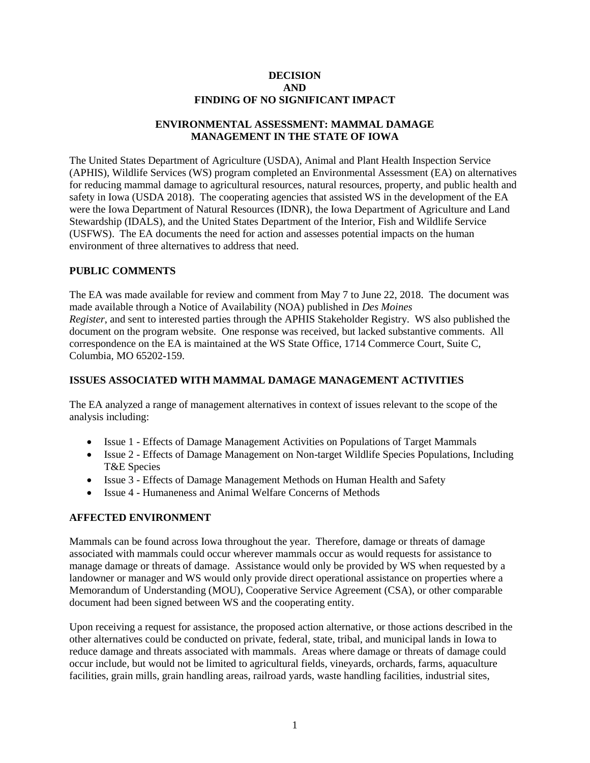#### **DECISION AND FINDING OF NO SIGNIFICANT IMPACT**

### **ENVIRONMENTAL ASSESSMENT: MAMMAL DAMAGE MANAGEMENT IN THE STATE OF IOWA**

The United States Department of Agriculture (USDA), Animal and Plant Health Inspection Service (APHIS), Wildlife Services (WS) program completed an Environmental Assessment (EA) on alternatives for reducing mammal damage to agricultural resources, natural resources, property, and public health and safety in Iowa (USDA 2018). The cooperating agencies that assisted WS in the development of the EA were the Iowa Department of Natural Resources (IDNR), the Iowa Department of Agriculture and Land Stewardship (IDALS), and the United States Department of the Interior, Fish and Wildlife Service (USFWS). The EA documents the need for action and assesses potential impacts on the human environment of three alternatives to address that need.

### **PUBLIC COMMENTS**

The EA was made available for review and comment from May 7 to June 22, 2018. The document was made available through a Notice of Availability (NOA) published in *Des Moines Register*, and sent to interested parties through the APHIS Stakeholder Registry. WS also published the document on the program website. One response was received, but lacked substantive comments. All correspondence on the EA is maintained at the WS State Office, 1714 Commerce Court, Suite C, Columbia, MO 65202-159.

## **ISSUES ASSOCIATED WITH MAMMAL DAMAGE MANAGEMENT ACTIVITIES**

The EA analyzed a range of management alternatives in context of issues relevant to the scope of the analysis including:

- Issue 1 Effects of Damage Management Activities on Populations of Target Mammals
- Issue 2 Effects of Damage Management on Non-target Wildlife Species Populations, Including T&E Species
- Issue 3 Effects of Damage Management Methods on Human Health and Safety
- Issue 4 Humaneness and Animal Welfare Concerns of Methods

### **AFFECTED ENVIRONMENT**

Mammals can be found across Iowa throughout the year. Therefore, damage or threats of damage associated with mammals could occur wherever mammals occur as would requests for assistance to manage damage or threats of damage. Assistance would only be provided by WS when requested by a landowner or manager and WS would only provide direct operational assistance on properties where a Memorandum of Understanding (MOU), Cooperative Service Agreement (CSA), or other comparable document had been signed between WS and the cooperating entity.

Upon receiving a request for assistance, the proposed action alternative, or those actions described in the other alternatives could be conducted on private, federal, state, tribal, and municipal lands in Iowa to reduce damage and threats associated with mammals. Areas where damage or threats of damage could occur include, but would not be limited to agricultural fields, vineyards, orchards, farms, aquaculture facilities, grain mills, grain handling areas, railroad yards, waste handling facilities, industrial sites,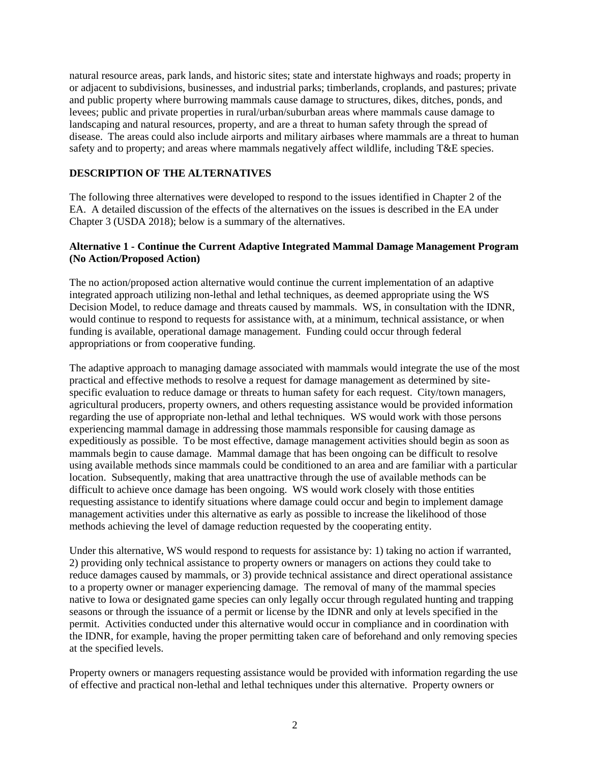natural resource areas, park lands, and historic sites; state and interstate highways and roads; property in or adjacent to subdivisions, businesses, and industrial parks; timberlands, croplands, and pastures; private and public property where burrowing mammals cause damage to structures, dikes, ditches, ponds, and levees; public and private properties in rural/urban/suburban areas where mammals cause damage to landscaping and natural resources, property, and are a threat to human safety through the spread of disease. The areas could also include airports and military airbases where mammals are a threat to human safety and to property; and areas where mammals negatively affect wildlife, including T&E species.

### **DESCRIPTION OF THE ALTERNATIVES**

The following three alternatives were developed to respond to the issues identified in Chapter 2 of the EA. A detailed discussion of the effects of the alternatives on the issues is described in the EA under Chapter 3 (USDA 2018); below is a summary of the alternatives.

### **Alternative 1 - Continue the Current Adaptive Integrated Mammal Damage Management Program (No Action/Proposed Action)**

The no action/proposed action alternative would continue the current implementation of an adaptive integrated approach utilizing non-lethal and lethal techniques, as deemed appropriate using the WS Decision Model, to reduce damage and threats caused by mammals. WS, in consultation with the IDNR, would continue to respond to requests for assistance with, at a minimum, technical assistance, or when funding is available, operational damage management. Funding could occur through federal appropriations or from cooperative funding.

The adaptive approach to managing damage associated with mammals would integrate the use of the most practical and effective methods to resolve a request for damage management as determined by sitespecific evaluation to reduce damage or threats to human safety for each request. City/town managers, agricultural producers, property owners, and others requesting assistance would be provided information regarding the use of appropriate non-lethal and lethal techniques. WS would work with those persons experiencing mammal damage in addressing those mammals responsible for causing damage as expeditiously as possible. To be most effective, damage management activities should begin as soon as mammals begin to cause damage. Mammal damage that has been ongoing can be difficult to resolve using available methods since mammals could be conditioned to an area and are familiar with a particular location. Subsequently, making that area unattractive through the use of available methods can be difficult to achieve once damage has been ongoing. WS would work closely with those entities requesting assistance to identify situations where damage could occur and begin to implement damage management activities under this alternative as early as possible to increase the likelihood of those methods achieving the level of damage reduction requested by the cooperating entity.

Under this alternative, WS would respond to requests for assistance by: 1) taking no action if warranted, 2) providing only technical assistance to property owners or managers on actions they could take to reduce damages caused by mammals, or 3) provide technical assistance and direct operational assistance to a property owner or manager experiencing damage. The removal of many of the mammal species native to Iowa or designated game species can only legally occur through regulated hunting and trapping seasons or through the issuance of a permit or license by the IDNR and only at levels specified in the permit. Activities conducted under this alternative would occur in compliance and in coordination with the IDNR, for example, having the proper permitting taken care of beforehand and only removing species at the specified levels.

Property owners or managers requesting assistance would be provided with information regarding the use of effective and practical non-lethal and lethal techniques under this alternative. Property owners or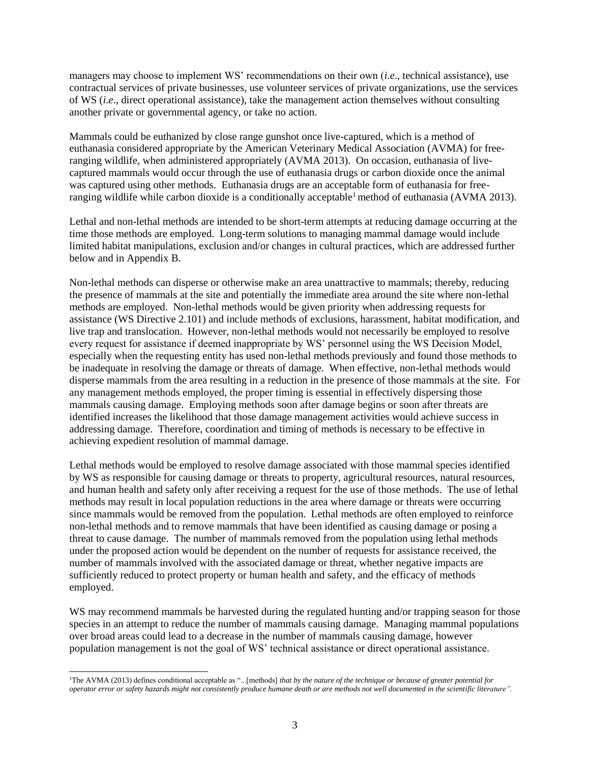managers may choose to implement WS' recommendations on their own (*i*.*e*., technical assistance), use contractual services of private businesses, use volunteer services of private organizations, use the services of WS (*i*.*e*., direct operational assistance), take the management action themselves without consulting another private or governmental agency, or take no action.

Mammals could be euthanized by close range gunshot once live-captured, which is a method of euthanasia considered appropriate by the American Veterinary Medical Association (AVMA) for freeranging wildlife, when administered appropriately (AVMA 2013). On occasion, euthanasia of livecaptured mammals would occur through the use of euthanasia drugs or carbon dioxide once the animal was captured using other methods. Euthanasia drugs are an acceptable form of euthanasia for freeranging wildlife while carbon dioxide is a conditionally acceptable<sup>1</sup> method of euthanasia (AVMA 2013).

Lethal and non-lethal methods are intended to be short-term attempts at reducing damage occurring at the time those methods are employed. Long-term solutions to managing mammal damage would include limited habitat manipulations, exclusion and/or changes in cultural practices, which are addressed further below and in Appendix B.

Non-lethal methods can disperse or otherwise make an area unattractive to mammals; thereby, reducing the presence of mammals at the site and potentially the immediate area around the site where non-lethal methods are employed. Non-lethal methods would be given priority when addressing requests for assistance (WS Directive 2.101) and include methods of exclusions, harassment, habitat modification, and live trap and translocation. However, non-lethal methods would not necessarily be employed to resolve every request for assistance if deemed inappropriate by WS' personnel using the WS Decision Model, especially when the requesting entity has used non-lethal methods previously and found those methods to be inadequate in resolving the damage or threats of damage. When effective, non-lethal methods would disperse mammals from the area resulting in a reduction in the presence of those mammals at the site. For any management methods employed, the proper timing is essential in effectively dispersing those mammals causing damage. Employing methods soon after damage begins or soon after threats are identified increases the likelihood that those damage management activities would achieve success in addressing damage. Therefore, coordination and timing of methods is necessary to be effective in achieving expedient resolution of mammal damage.

Lethal methods would be employed to resolve damage associated with those mammal species identified by WS as responsible for causing damage or threats to property, agricultural resources, natural resources, and human health and safety only after receiving a request for the use of those methods. The use of lethal methods may result in local population reductions in the area where damage or threats were occurring since mammals would be removed from the population. Lethal methods are often employed to reinforce non-lethal methods and to remove mammals that have been identified as causing damage or posing a threat to cause damage. The number of mammals removed from the population using lethal methods under the proposed action would be dependent on the number of requests for assistance received, the number of mammals involved with the associated damage or threat, whether negative impacts are sufficiently reduced to protect property or human health and safety, and the efficacy of methods employed.

WS may recommend mammals be harvested during the regulated hunting and/or trapping season for those species in an attempt to reduce the number of mammals causing damage. Managing mammal populations over broad areas could lead to a decrease in the number of mammals causing damage, however population management is not the goal of WS' technical assistance or direct operational assistance.

l <sup>1</sup>The AVMA (2013) defines conditional acceptable as "...[methods] *that by the nature of the technique or because of greater potential for operator error or safety hazards might not consistently produce humane death or are methods not well documented in the scientific literature".*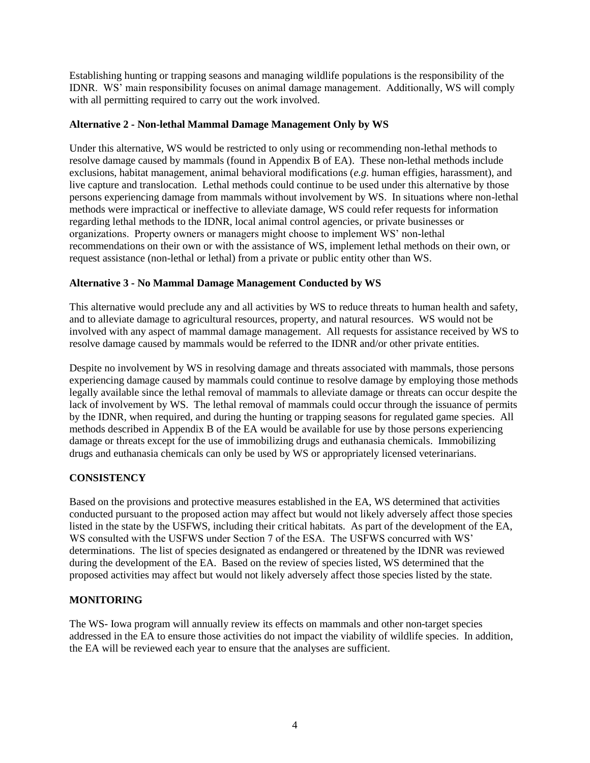Establishing hunting or trapping seasons and managing wildlife populations is the responsibility of the IDNR. WS' main responsibility focuses on animal damage management. Additionally, WS will comply with all permitting required to carry out the work involved.

## **Alternative 2 - Non-lethal Mammal Damage Management Only by WS**

Under this alternative, WS would be restricted to only using or recommending non-lethal methods to resolve damage caused by mammals (found in Appendix B of EA). These non-lethal methods include exclusions, habitat management, animal behavioral modifications (*e.g.* human effigies, harassment), and live capture and translocation. Lethal methods could continue to be used under this alternative by those persons experiencing damage from mammals without involvement by WS. In situations where non-lethal methods were impractical or ineffective to alleviate damage, WS could refer requests for information regarding lethal methods to the IDNR, local animal control agencies, or private businesses or organizations. Property owners or managers might choose to implement WS' non-lethal recommendations on their own or with the assistance of WS, implement lethal methods on their own, or request assistance (non-lethal or lethal) from a private or public entity other than WS.

### **Alternative 3 - No Mammal Damage Management Conducted by WS**

This alternative would preclude any and all activities by WS to reduce threats to human health and safety, and to alleviate damage to agricultural resources, property, and natural resources. WS would not be involved with any aspect of mammal damage management. All requests for assistance received by WS to resolve damage caused by mammals would be referred to the IDNR and/or other private entities.

Despite no involvement by WS in resolving damage and threats associated with mammals, those persons experiencing damage caused by mammals could continue to resolve damage by employing those methods legally available since the lethal removal of mammals to alleviate damage or threats can occur despite the lack of involvement by WS. The lethal removal of mammals could occur through the issuance of permits by the IDNR, when required, and during the hunting or trapping seasons for regulated game species. All methods described in Appendix B of the EA would be available for use by those persons experiencing damage or threats except for the use of immobilizing drugs and euthanasia chemicals. Immobilizing drugs and euthanasia chemicals can only be used by WS or appropriately licensed veterinarians.

# **CONSISTENCY**

Based on the provisions and protective measures established in the EA, WS determined that activities conducted pursuant to the proposed action may affect but would not likely adversely affect those species listed in the state by the USFWS, including their critical habitats. As part of the development of the EA, WS consulted with the USFWS under Section 7 of the ESA. The USFWS concurred with WS' determinations. The list of species designated as endangered or threatened by the IDNR was reviewed during the development of the EA. Based on the review of species listed, WS determined that the proposed activities may affect but would not likely adversely affect those species listed by the state.

# **MONITORING**

The WS- Iowa program will annually review its effects on mammals and other non-target species addressed in the EA to ensure those activities do not impact the viability of wildlife species. In addition, the EA will be reviewed each year to ensure that the analyses are sufficient.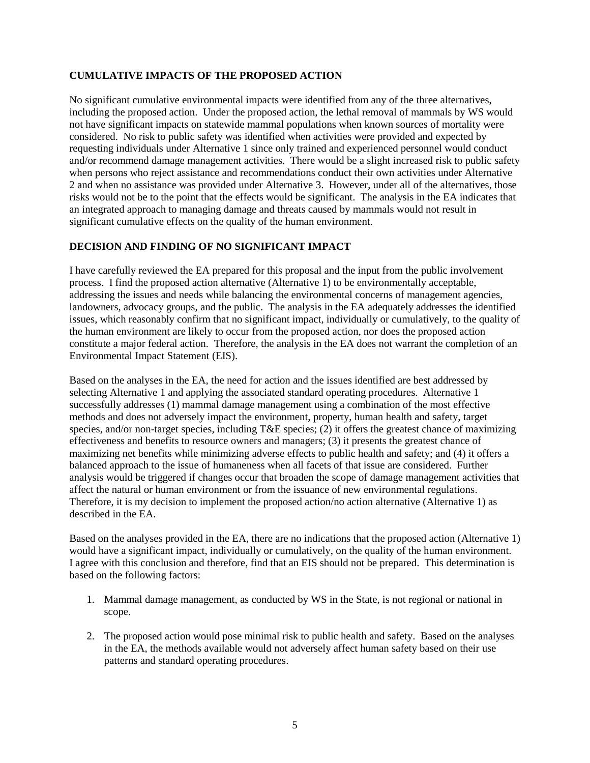### **CUMULATIVE IMPACTS OF THE PROPOSED ACTION**

No significant cumulative environmental impacts were identified from any of the three alternatives, including the proposed action. Under the proposed action, the lethal removal of mammals by WS would not have significant impacts on statewide mammal populations when known sources of mortality were considered. No risk to public safety was identified when activities were provided and expected by requesting individuals under Alternative 1 since only trained and experienced personnel would conduct and/or recommend damage management activities. There would be a slight increased risk to public safety when persons who reject assistance and recommendations conduct their own activities under Alternative 2 and when no assistance was provided under Alternative 3. However, under all of the alternatives, those risks would not be to the point that the effects would be significant. The analysis in the EA indicates that an integrated approach to managing damage and threats caused by mammals would not result in significant cumulative effects on the quality of the human environment.

# **DECISION AND FINDING OF NO SIGNIFICANT IMPACT**

I have carefully reviewed the EA prepared for this proposal and the input from the public involvement process. I find the proposed action alternative (Alternative 1) to be environmentally acceptable, addressing the issues and needs while balancing the environmental concerns of management agencies, landowners, advocacy groups, and the public. The analysis in the EA adequately addresses the identified issues, which reasonably confirm that no significant impact, individually or cumulatively, to the quality of the human environment are likely to occur from the proposed action, nor does the proposed action constitute a major federal action. Therefore, the analysis in the EA does not warrant the completion of an Environmental Impact Statement (EIS).

Based on the analyses in the EA, the need for action and the issues identified are best addressed by selecting Alternative 1 and applying the associated standard operating procedures. Alternative 1 successfully addresses (1) mammal damage management using a combination of the most effective methods and does not adversely impact the environment, property, human health and safety, target species, and/or non-target species, including T&E species; (2) it offers the greatest chance of maximizing effectiveness and benefits to resource owners and managers; (3) it presents the greatest chance of maximizing net benefits while minimizing adverse effects to public health and safety; and (4) it offers a balanced approach to the issue of humaneness when all facets of that issue are considered. Further analysis would be triggered if changes occur that broaden the scope of damage management activities that affect the natural or human environment or from the issuance of new environmental regulations. Therefore, it is my decision to implement the proposed action/no action alternative (Alternative 1) as described in the EA.

Based on the analyses provided in the EA, there are no indications that the proposed action (Alternative 1) would have a significant impact, individually or cumulatively, on the quality of the human environment. I agree with this conclusion and therefore, find that an EIS should not be prepared. This determination is based on the following factors:

- 1. Mammal damage management, as conducted by WS in the State, is not regional or national in scope.
- 2. The proposed action would pose minimal risk to public health and safety. Based on the analyses in the EA, the methods available would not adversely affect human safety based on their use patterns and standard operating procedures.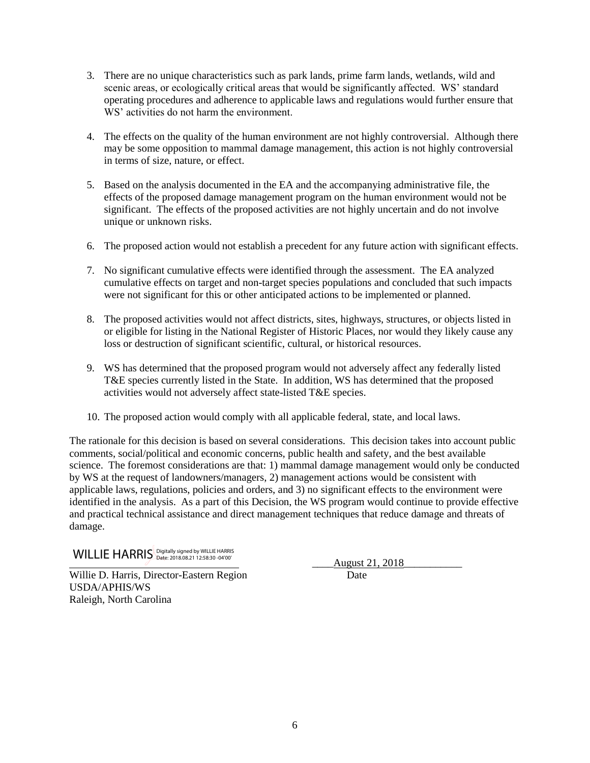- 3. There are no unique characteristics such as park lands, prime farm lands, wetlands, wild and scenic areas, or ecologically critical areas that would be significantly affected. WS' standard operating procedures and adherence to applicable laws and regulations would further ensure that WS' activities do not harm the environment.
- 4. The effects on the quality of the human environment are not highly controversial. Although there may be some opposition to mammal damage management, this action is not highly controversial in terms of size, nature, or effect.
- 5. Based on the analysis documented in the EA and the accompanying administrative file, the effects of the proposed damage management program on the human environment would not be significant. The effects of the proposed activities are not highly uncertain and do not involve unique or unknown risks.
- 6. The proposed action would not establish a precedent for any future action with significant effects.
- 7. No significant cumulative effects were identified through the assessment. The EA analyzed cumulative effects on target and non-target species populations and concluded that such impacts were not significant for this or other anticipated actions to be implemented or planned.
- 8. The proposed activities would not affect districts, sites, highways, structures, or objects listed in or eligible for listing in the National Register of Historic Places, nor would they likely cause any loss or destruction of significant scientific, cultural, or historical resources.
- 9. WS has determined that the proposed program would not adversely affect any federally listed T&E species currently listed in the State. In addition, WS has determined that the proposed activities would not adversely affect state-listed T&E species.
- 10. The proposed action would comply with all applicable federal, state, and local laws.

The rationale for this decision is based on several considerations. This decision takes into account public comments, social/political and economic concerns, public health and safety, and the best available science. The foremost considerations are that: 1) mammal damage management would only be conducted by WS at the request of landowners/managers, 2) management actions would be consistent with applicable laws, regulations, policies and orders, and 3) no significant effects to the environment were identified in the analysis. As a part of this Decision, the WS program would continue to provide effective and practical technical assistance and direct management techniques that reduce damage and threats of damage.

 $\textsf{WILLIE}$   $\textsf{HARRI}\textsf{S}_{\textsf{Date: 2018.08.21}}$  12:58:30 -04'00'

Willie D. Harris, Director-Eastern Region Date USDA/APHIS/WS Raleigh, North Carolina

\_\_\_\_August 21, 2018\_\_\_\_\_\_\_\_\_\_\_